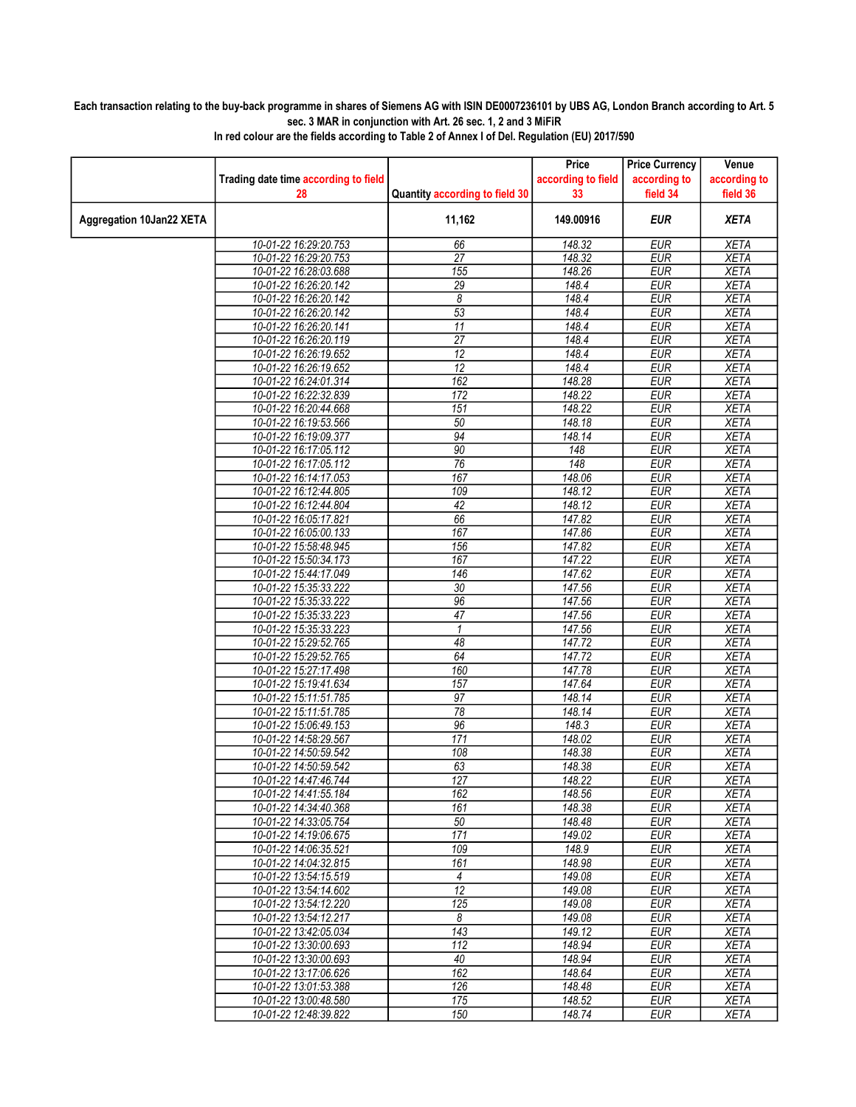## Each transaction relating to the buy-back programme in shares of Siemens AG with ISIN DE0007236101 by UBS AG, London Branch according to Art. 5 sec. 3 MAR in conjunction with Art. 26 sec. 1, 2 and 3 MiFiR

|                          |                                                |                                | Price              | <b>Price Currency</b>    | Venue                      |
|--------------------------|------------------------------------------------|--------------------------------|--------------------|--------------------------|----------------------------|
|                          | Trading date time according to field           |                                | according to field | according to             | according to               |
|                          | 28                                             | Quantity according to field 30 | 33                 | field 34                 | field 36                   |
| Aggregation 10Jan22 XETA |                                                | 11,162                         | 149.00916          | EUR                      | <b>XETA</b>                |
|                          | 10-01-22 16:29:20.753                          | 66                             | 148.32             | <b>EUR</b>               | <b>XETA</b>                |
|                          | 10-01-22 16:29:20.753                          | $\overline{27}$                | 148.32             | <b>EUR</b>               | <b>XETA</b>                |
|                          | 10-01-22 16:28:03.688                          | 155                            | 148.26             | <b>EUR</b>               | <b>XETA</b>                |
|                          | 10-01-22 16:26:20.142                          | 29                             | 148.4              | <b>EUR</b>               | <b>XETA</b>                |
|                          | 10-01-22 16:26:20.142                          | 8                              | 148.4              | <b>EUR</b>               | <b>XETA</b>                |
|                          | 10-01-22 16:26:20.142                          | $\overline{53}$                | 148.4              | EUR                      | <b>XETA</b>                |
|                          | 10-01-22 16:26:20.141                          | $\overline{11}$                | 148.4              | <b>EUR</b>               | <b>XETA</b>                |
|                          | 10-01-22 16:26:20.119                          | $\overline{27}$                | 148.4              | <b>EUR</b>               | <b>XETA</b>                |
|                          | 10-01-22 16:26:19.652                          | 12                             | 148.4              | <b>EUR</b>               | <b>XETA</b>                |
|                          | 10-01-22 16:26:19.652                          | 12                             | 148.4              | <b>EUR</b>               | <b>XETA</b>                |
|                          | 10-01-22 16:24:01.314                          | 162                            | 148.28             | <b>EUR</b>               | <b>XETA</b>                |
|                          | 10-01-22 16:22:32.839                          | 172                            | 148.22             | <b>EUR</b>               | <b>XETA</b>                |
|                          | 10-01-22 16:20:44.668                          | 151                            | 148.22             | <b>EUR</b>               | <b>XETA</b>                |
|                          | 10-01-22 16:19:53.566                          | 50                             | 148.18             | <b>EUR</b>               | <b>XETA</b>                |
|                          | 10-01-22 16:19:09.377                          | 94                             | 148.14             | <b>EUR</b>               | <b>XETA</b>                |
|                          | 10-01-22 16:17:05.112                          | 90<br>$\overline{76}$          | 148<br>148         | <b>EUR</b><br><b>EUR</b> | <b>XETA</b><br><b>XETA</b> |
|                          | 10-01-22 16:17:05.112                          | 167                            | 148.06             | <b>EUR</b>               | <b>XETA</b>                |
|                          | 10-01-22 16:14:17.053                          |                                |                    |                          |                            |
|                          | 10-01-22 16:12:44.805                          | 109<br>42                      | 148.12<br>148.12   | <b>EUR</b><br><b>EUR</b> | <b>XETA</b><br><b>XETA</b> |
|                          | 10-01-22 16:12:44.804<br>10-01-22 16:05:17.821 | 66                             | 147.82             | <b>EUR</b>               | <b>XETA</b>                |
|                          | 10-01-22 16:05:00.133                          | 167                            | 147.86             | <b>EUR</b>               | <b>XETA</b>                |
|                          | 10-01-22 15:58:48.945                          | 156                            | 147.82             | <b>EUR</b>               | <b>XETA</b>                |
|                          | 10-01-22 15:50:34.173                          | 167                            | 147.22             | <b>EUR</b>               | <b>XETA</b>                |
|                          | 10-01-22 15:44:17.049                          | $\overline{146}$               | 147.62             | <b>EUR</b>               | <b>XETA</b>                |
|                          | 10-01-22 15:35:33.222                          | $\overline{30}$                | 147.56             | <b>EUR</b>               | <b>XETA</b>                |
|                          | 10-01-22 15:35:33.222                          | 96                             | 147.56             | <b>EUR</b>               | <b>XETA</b>                |
|                          | 10-01-22 15:35:33.223                          | 47                             | 147.56             | <b>EUR</b>               | <b>XETA</b>                |
|                          | 10-01-22 15:35:33.223                          | $\mathbf{1}$                   | 147.56             | <b>EUR</b>               | <b>XETA</b>                |
|                          | 10-01-22 15:29:52.765                          | 48                             | 147.72             | <b>EUR</b>               | <b>XETA</b>                |
|                          | 10-01-22 15:29:52.765                          | 64                             | 147.72             | EUR                      | <b>XETA</b>                |
|                          | 10-01-22 15:27:17.498                          | 160                            | 147.78             | <b>EUR</b>               | <b>XETA</b>                |
|                          | 10-01-22 15:19:41.634                          | 157                            | 147.64             | <b>EUR</b>               | <b>XETA</b>                |
|                          | 10-01-22 15:11:51.785                          | $\overline{97}$                | 148.14             | <b>EUR</b>               | <b>XETA</b>                |
|                          | 10-01-22 15:11:51.785                          | 78                             | 148.14             | <b>EUR</b>               | <b>XETA</b>                |
|                          | 10-01-22 15:06:49.153                          | 96                             | 148.3              | <b>EUR</b>               | <b>XETA</b>                |
|                          | 10-01-22 14:58:29.567                          | 171                            | 148.02             | <b>EUR</b>               | <b>XETA</b>                |
|                          | 10-01-22 14:50:59.542                          | 108                            | 148.38             | <b>EUR</b>               | <b>XETA</b>                |
|                          | 10-01-22 14:50:59.542                          | 63                             | 148.38             | <b>EUR</b>               | <b>XETA</b>                |
|                          | 10-01-22 14:47:46.744                          | 127                            | 148.22             | <b>EUR</b>               | <b>XETA</b>                |
|                          | 10-01-22 14:41:55.184                          | 162                            | 148.56             | EUR                      | XETA                       |
|                          | 10-01-22 14:34:40.368                          | 161                            | 148.38             | <b>EUR</b>               | <b>XETA</b>                |
|                          | 10-01-22 14:33:05.754                          | 50                             | 148.48             | <b>EUR</b>               | <b>XETA</b>                |
|                          | 10-01-22 14:19:06.675                          | 171                            | 149.02             | <b>EUR</b>               | <b>XETA</b>                |
|                          | 10-01-22 14:06:35.521                          | 109                            | 148.9              | <b>EUR</b>               | <b>XETA</b>                |
|                          | 10-01-22 14:04:32.815                          | 161                            | 148.98             | <b>EUR</b>               | <b>XETA</b>                |
|                          | 10-01-22 13:54:15.519                          | 4                              | 149.08             | <b>EUR</b>               | <b>XETA</b>                |
|                          | 10-01-22 13:54:14.602                          | $\overline{12}$                | 149.08             | <b>EUR</b>               | <b>XETA</b>                |
|                          | 10-01-22 13:54:12.220                          | 125                            | 149.08             | <b>EUR</b>               | <b>XETA</b>                |
|                          | 10-01-22 13:54:12.217                          | 8                              | 149.08             | <b>EUR</b>               | <b>XETA</b>                |
|                          | 10-01-22 13:42:05.034                          | 143                            | 149.12             | <b>EUR</b>               | <b>XETA</b>                |
|                          | 10-01-22 13:30:00.693                          | 112                            | 148.94             | <b>EUR</b>               | <b>XETA</b>                |
|                          | 10-01-22 13:30:00.693                          | 40                             | 148.94             | <b>EUR</b>               | <b>XETA</b>                |
|                          | 10-01-22 13:17:06.626                          | 162                            | 148.64             | <b>EUR</b>               | XETA                       |
|                          | 10-01-22 13:01:53.388                          | 126                            | 148.48             | <b>EUR</b>               | <b>XETA</b>                |
|                          | 10-01-22 13:00:48.580                          | 175                            | 148.52             | <b>EUR</b>               | <b>XETA</b>                |
|                          | 10-01-22 12:48:39.822                          | 150                            | 148.74             | EUR                      | <b>XETA</b>                |

In red colour are the fields according to Table 2 of Annex I of Del. Regulation (EU) 2017/590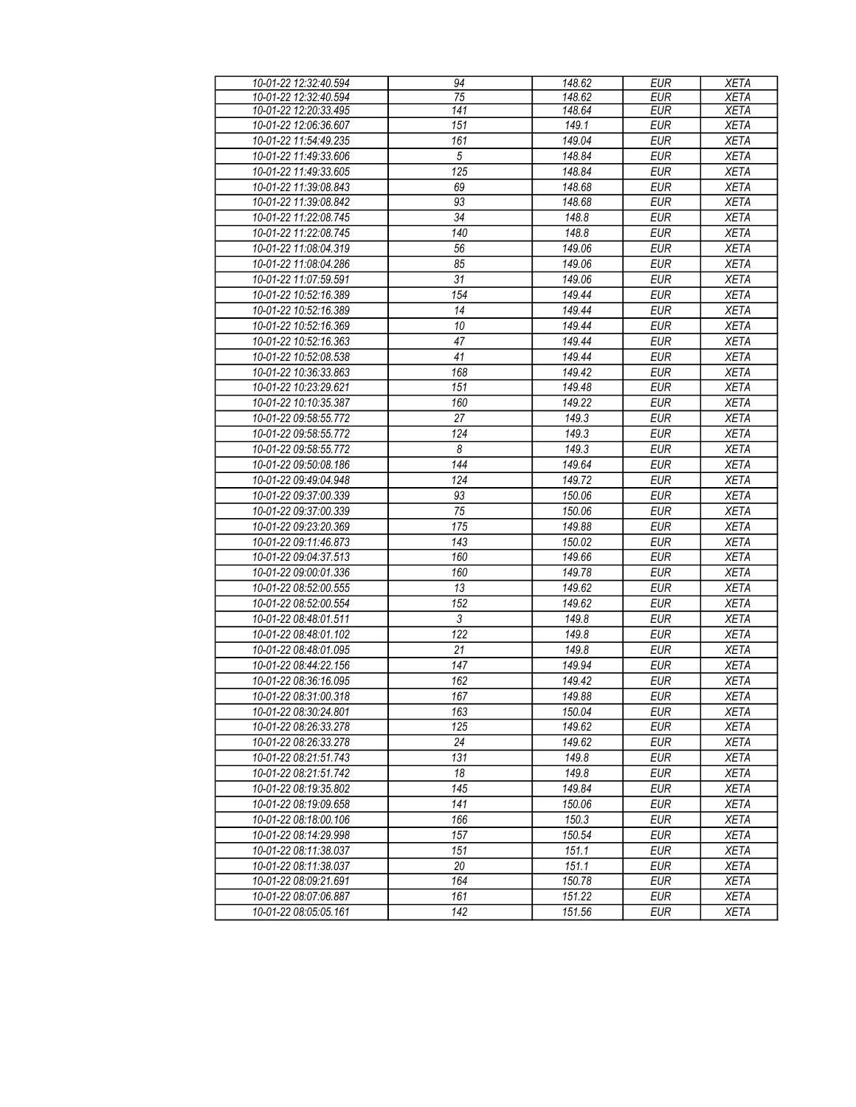| 10-01-22 12:32:40.594 | 94               | 148.62 | <b>EUR</b> | <b>XETA</b> |
|-----------------------|------------------|--------|------------|-------------|
| 10-01-22 12:32:40.594 | 75               | 148.62 | <b>EUR</b> | <b>XETA</b> |
| 10-01-22 12:20:33.495 | 141              | 148.64 | <b>EUR</b> | <b>XETA</b> |
| 10-01-22 12:06:36.607 | 151              | 149.1  | <b>EUR</b> | <b>XETA</b> |
| 10-01-22 11:54:49.235 | 161              | 149.04 | <b>EUR</b> | <b>XETA</b> |
| 10-01-22 11:49:33.606 | 5                | 148.84 | <b>EUR</b> | <b>XETA</b> |
| 10-01-22 11:49:33.605 | $\overline{125}$ | 148.84 | <b>EUR</b> | <b>XETA</b> |
| 10-01-22 11:39:08.843 | 69               | 148.68 | <b>EUR</b> | <b>XETA</b> |
| 10-01-22 11:39:08.842 | 93               | 148.68 | <b>EUR</b> | <b>XETA</b> |
| 10-01-22 11:22:08.745 | 34               | 148.8  | <b>EUR</b> | <b>XETA</b> |
| 10-01-22 11:22:08.745 | 140              | 148.8  | <b>EUR</b> | <b>XETA</b> |
| 10-01-22 11:08:04.319 | 56               | 149.06 | <b>EUR</b> | <b>XETA</b> |
| 10-01-22 11:08:04.286 | 85               | 149.06 | <b>EUR</b> | <b>XETA</b> |
| 10-01-22 11:07:59.591 | 31               | 149.06 | <b>EUR</b> | <b>XETA</b> |
| 10-01-22 10:52:16.389 | 154              | 149.44 | <b>EUR</b> | <b>XETA</b> |
| 10-01-22 10:52:16.389 | 14               | 149.44 | <b>EUR</b> | <b>XETA</b> |
|                       |                  |        |            |             |
| 10-01-22 10:52:16.369 | 10               | 149.44 | <b>EUR</b> | <b>XETA</b> |
| 10-01-22 10:52:16.363 | 47               | 149.44 | <b>EUR</b> | <b>XETA</b> |
| 10-01-22 10:52:08.538 | 41               | 149.44 | <b>EUR</b> | <b>XETA</b> |
| 10-01-22 10:36:33.863 | 168              | 149.42 | <b>EUR</b> | <b>XETA</b> |
| 10-01-22 10:23:29.621 | 151              | 149.48 | <b>EUR</b> | <b>XETA</b> |
| 10-01-22 10:10:35.387 | 160              | 149.22 | <b>EUR</b> | <b>XETA</b> |
| 10-01-22 09:58:55.772 | 27               | 149.3  | <b>EUR</b> | <b>XETA</b> |
| 10-01-22 09:58:55.772 | 124              | 149.3  | <b>EUR</b> | <b>XETA</b> |
| 10-01-22 09:58:55.772 | 8                | 149.3  | <b>EUR</b> | <b>XETA</b> |
| 10-01-22 09:50:08.186 | 144              | 149.64 | <b>EUR</b> | <b>XETA</b> |
| 10-01-22 09:49:04.948 | 124              | 149.72 | <b>EUR</b> | <b>XETA</b> |
| 10-01-22 09:37:00.339 | 93               | 150.06 | <b>EUR</b> | <b>XETA</b> |
| 10-01-22 09:37:00.339 | 75               | 150.06 | <b>EUR</b> | <b>XETA</b> |
| 10-01-22 09:23:20.369 | 175              | 149.88 | <b>EUR</b> | <b>XETA</b> |
| 10-01-22 09:11:46.873 | 143              | 150.02 | <b>EUR</b> | <b>XETA</b> |
| 10-01-22 09:04:37.513 | 160              | 149.66 | <b>EUR</b> | <b>XETA</b> |
| 10-01-22 09:00:01.336 | 160              | 149.78 | <b>EUR</b> | <b>XETA</b> |
| 10-01-22 08:52:00.555 | 13               | 149.62 | <b>EUR</b> | <b>XETA</b> |
| 10-01-22 08:52:00.554 | 152              | 149.62 | <b>EUR</b> | <b>XETA</b> |
| 10-01-22 08:48:01.511 | 3                | 149.8  | <b>EUR</b> | <b>XETA</b> |
| 10-01-22 08:48:01.102 | 122              | 149.8  | <b>EUR</b> | <b>XETA</b> |
|                       | 21               | 149.8  | <b>EUR</b> |             |
| 10-01-22 08:48:01.095 | 147              | 149.94 |            | <b>XETA</b> |
| 10-01-22 08:44:22.156 |                  |        | <b>EUR</b> | <b>XETA</b> |
| 10-01-22 08:36:16.095 | 162              | 149.42 | <b>EUR</b> | <b>XETA</b> |
| 10-01-22 08:31:00.318 | 167              | 149.88 | <b>EUR</b> | <b>XETA</b> |
| 10-01-22 08:30:24.801 | 163              | 150.04 | <b>EUR</b> | <b>XETA</b> |
| 10-01-22 08:26:33.278 | 125              | 149.62 | <b>EUR</b> | <b>XETA</b> |
| 10-01-22 08:26:33.278 | 24               | 149.62 | <b>EUR</b> | <b>XETA</b> |
| 10-01-22 08:21:51.743 | 131              | 149.8  | <b>EUR</b> | <b>XETA</b> |
| 10-01-22 08:21:51.742 | 18               | 149.8  | <b>EUR</b> | <b>XETA</b> |
| 10-01-22 08:19:35.802 | 145              | 149.84 | <b>EUR</b> | <b>XETA</b> |
| 10-01-22 08:19:09.658 | 141              | 150.06 | <b>EUR</b> | <b>XETA</b> |
| 10-01-22 08:18:00.106 | 166              | 150.3  | <b>EUR</b> | <b>XETA</b> |
| 10-01-22 08:14:29.998 | 157              | 150.54 | <b>EUR</b> | <b>XETA</b> |
| 10-01-22 08:11:38.037 | 151              | 151.1  | <b>EUR</b> | <b>XETA</b> |
| 10-01-22 08:11:38.037 | 20               | 151.1  | <b>EUR</b> | <b>XETA</b> |
| 10-01-22 08:09:21.691 | 164              | 150.78 | <b>EUR</b> | XETA        |
| 10-01-22 08:07:06.887 | 161              | 151.22 | <b>EUR</b> | <b>XETA</b> |
| 10-01-22 08:05:05.161 | 142              | 151.56 | <b>EUR</b> | <b>XETA</b> |
|                       |                  |        |            |             |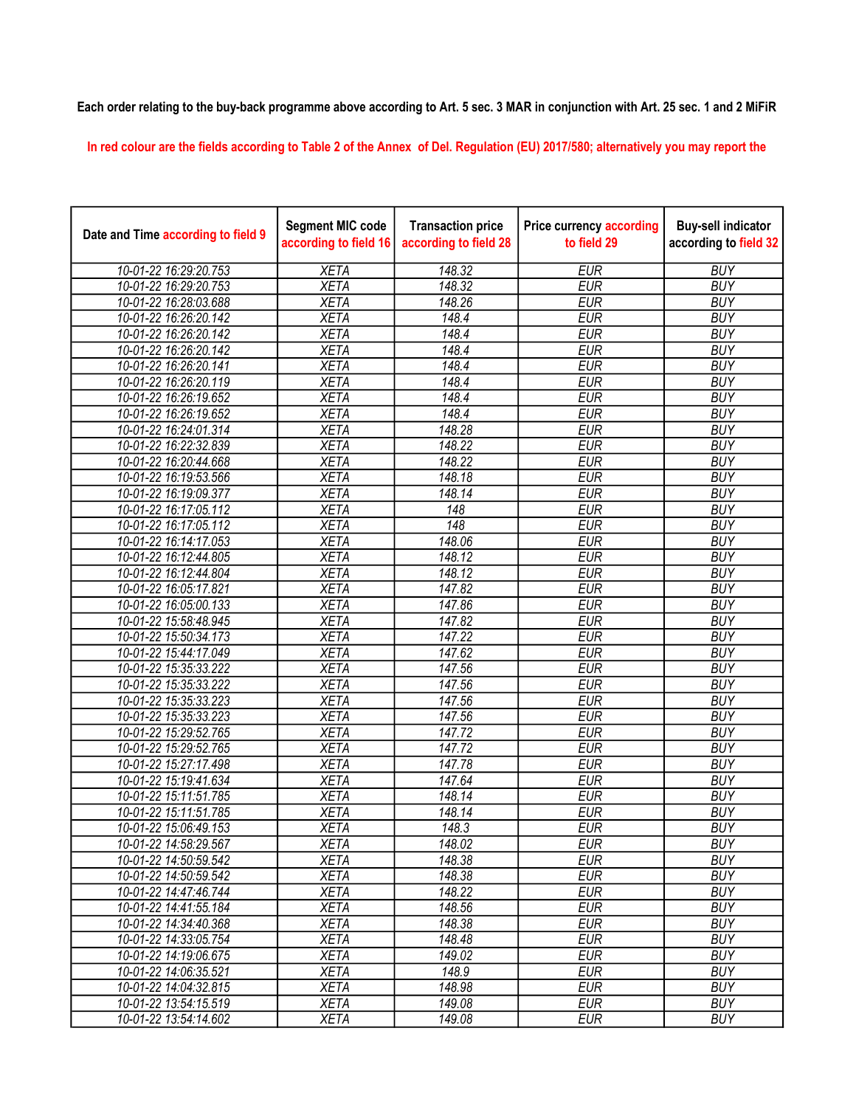## Each order relating to the buy-back programme above according to Art. 5 sec. 3 MAR in conjunction with Art. 25 sec. 1 and 2 MiFiR

In red colour are the fields according to Table 2 of the Annex of Del. Regulation (EU) 2017/580; alternatively you may report the

| Date and Time according to field 9 | <b>Segment MIC code</b><br>according to field 16 | <b>Transaction price</b><br>according to field 28 | <b>Price currency according</b><br>to field 29 | <b>Buy-sell indicator</b><br>according to field 32 |
|------------------------------------|--------------------------------------------------|---------------------------------------------------|------------------------------------------------|----------------------------------------------------|
| 10-01-22 16:29:20.753              | <b>XETA</b>                                      | 148.32                                            | <b>EUR</b>                                     | <b>BUY</b>                                         |
| 10-01-22 16:29:20.753              | <b>XETA</b>                                      | 148.32                                            | <b>EUR</b>                                     | <b>BUY</b>                                         |
| 10-01-22 16:28:03.688              | <b>XETA</b>                                      | 148.26                                            | <b>EUR</b>                                     | <b>BUY</b>                                         |
| 10-01-22 16:26:20.142              | <b>XETA</b>                                      | 148.4                                             | <b>EUR</b>                                     | <b>BUY</b>                                         |
| 10-01-22 16:26:20.142              | <b>XETA</b>                                      | 148.4                                             | <b>EUR</b>                                     | <b>BUY</b>                                         |
| 10-01-22 16:26:20.142              | <b>XETA</b>                                      | 148.4                                             | <b>EUR</b>                                     | <b>BUY</b>                                         |
| 10-01-22 16:26:20.141              | <b>XETA</b>                                      | 148.4                                             | <b>EUR</b>                                     | <b>BUY</b>                                         |
| 10-01-22 16:26:20.119              | <b>XETA</b>                                      | 148.4                                             | <b>EUR</b>                                     | <b>BUY</b>                                         |
| 10-01-22 16:26:19.652              | <b>XETA</b>                                      | 148.4                                             | <b>EUR</b>                                     | <b>BUY</b>                                         |
| 10-01-22 16:26:19.652              | <b>XETA</b>                                      | 148.4                                             | <b>EUR</b>                                     | <b>BUY</b>                                         |
| 10-01-22 16:24:01.314              | <b>XETA</b>                                      | 148.28                                            | <b>EUR</b>                                     | <b>BUY</b>                                         |
| 10-01-22 16:22:32.839              | <b>XETA</b>                                      | 148.22                                            | <b>EUR</b>                                     | <b>BUY</b>                                         |
| 10-01-22 16:20:44.668              | <b>XETA</b>                                      | 148.22                                            | <b>EUR</b>                                     | <b>BUY</b>                                         |
| 10-01-22 16:19:53.566              | <b>XETA</b>                                      | 148.18                                            | <b>EUR</b>                                     | <b>BUY</b>                                         |
| 10-01-22 16:19:09.377              | <b>XETA</b>                                      | 148.14                                            | <b>EUR</b>                                     | <b>BUY</b>                                         |
| 10-01-22 16:17:05.112              | <b>XETA</b>                                      | 148                                               | <b>EUR</b>                                     | <b>BUY</b>                                         |
| 10-01-22 16:17:05.112              | <b>XETA</b>                                      | 148                                               | <b>EUR</b>                                     | <b>BUY</b>                                         |
| 10-01-22 16:14:17.053              | <b>XETA</b>                                      | 148.06                                            | <b>EUR</b>                                     | <b>BUY</b>                                         |
| 10-01-22 16:12:44.805              | <b>XETA</b>                                      | 148.12                                            | <b>EUR</b>                                     | <b>BUY</b>                                         |
| 10-01-22 16:12:44.804              | <b>XETA</b>                                      | 148.12                                            | <b>EUR</b>                                     | <b>BUY</b>                                         |
| 10-01-22 16:05:17.821              | <b>XETA</b>                                      | 147.82                                            | <b>EUR</b>                                     | <b>BUY</b>                                         |
| 10-01-22 16:05:00.133              | <b>XETA</b>                                      | 147.86                                            | <b>EUR</b>                                     | <b>BUY</b>                                         |
| 10-01-22 15:58:48.945              | <b>XETA</b>                                      | 147.82                                            | <b>EUR</b>                                     | <b>BUY</b>                                         |
| 10-01-22 15:50:34.173              | <b>XETA</b>                                      | 147.22                                            | <b>EUR</b>                                     | <b>BUY</b>                                         |
| 10-01-22 15:44:17.049              | <b>XETA</b>                                      | 147.62                                            | <b>EUR</b>                                     | <b>BUY</b>                                         |
| 10-01-22 15:35:33.222              | <b>XETA</b>                                      | 147.56                                            | <b>EUR</b>                                     | <b>BUY</b>                                         |
| 10-01-22 15:35:33.222              | <b>XETA</b>                                      | 147.56                                            | <b>EUR</b>                                     | <b>BUY</b>                                         |
| 10-01-22 15:35:33.223              | <b>XETA</b>                                      | 147.56                                            | <b>EUR</b>                                     | <b>BUY</b>                                         |
| 10-01-22 15:35:33.223              | <b>XETA</b>                                      | 147.56                                            | <b>EUR</b>                                     | <b>BUY</b>                                         |
| 10-01-22 15:29:52.765              | <b>XETA</b>                                      | 147.72                                            | <b>EUR</b>                                     | <b>BUY</b>                                         |
| 10-01-22 15:29:52.765              | <b>XETA</b>                                      | 147.72                                            | <b>EUR</b>                                     | <b>BUY</b>                                         |
| 10-01-22 15:27:17.498              | <b>XETA</b>                                      | 147.78                                            | <b>EUR</b>                                     | <b>BUY</b>                                         |
| 10-01-22 15:19:41.634              | <b>XETA</b>                                      | 147.64                                            | <b>EUR</b>                                     | <b>BUY</b>                                         |
| 10-01-22 15:11:51.785              | <b>XETA</b>                                      | 148.14                                            | <b>EUR</b>                                     | <b>BUY</b>                                         |
| 10-01-22 15:11:51.785              | <b>XETA</b>                                      | 148.14                                            | <b>EUR</b>                                     | <b>BUY</b>                                         |
| 10-01-22 15:06:49.153              | <b>XETA</b>                                      | 148.3                                             | <b>EUR</b>                                     | <b>BUY</b>                                         |
| 10-01-22 14:58:29.567              | <b>XETA</b>                                      | 148.02                                            | EUR                                            | <b>BUY</b>                                         |
| 10-01-22 14:50:59.542              | <b>XETA</b>                                      | 148.38                                            | <b>EUR</b>                                     | <b>BUY</b>                                         |
| 10-01-22 14:50:59.542              | <b>XETA</b>                                      | 148.38                                            | <b>EUR</b>                                     | <b>BUY</b>                                         |
| 10-01-22 14:47:46.744              | <b>XETA</b>                                      | 148.22                                            | <b>EUR</b>                                     | <b>BUY</b>                                         |
| 10-01-22 14:41:55.184              | <b>XETA</b>                                      | 148.56                                            | <b>EUR</b>                                     | <b>BUY</b>                                         |
| 10-01-22 14:34:40.368              | <b>XETA</b>                                      | 148.38                                            | <b>EUR</b>                                     | <b>BUY</b>                                         |
| 10-01-22 14:33:05.754              | <b>XETA</b>                                      | 148.48                                            | <b>EUR</b>                                     | <b>BUY</b>                                         |
| 10-01-22 14:19:06.675              | <b>XETA</b>                                      | 149.02                                            | <b>EUR</b>                                     | <b>BUY</b>                                         |
| 10-01-22 14:06:35.521              | <b>XETA</b>                                      | 148.9                                             | <b>EUR</b>                                     | <b>BUY</b>                                         |
| 10-01-22 14:04:32.815              | <b>XETA</b>                                      | 148.98                                            | <b>EUR</b>                                     | <b>BUY</b>                                         |
| 10-01-22 13:54:15.519              | <b>XETA</b>                                      | 149.08                                            | EUR                                            | <b>BUY</b>                                         |
| 10-01-22 13:54:14.602              | <b>XETA</b>                                      | 149.08                                            | <b>EUR</b>                                     | <b>BUY</b>                                         |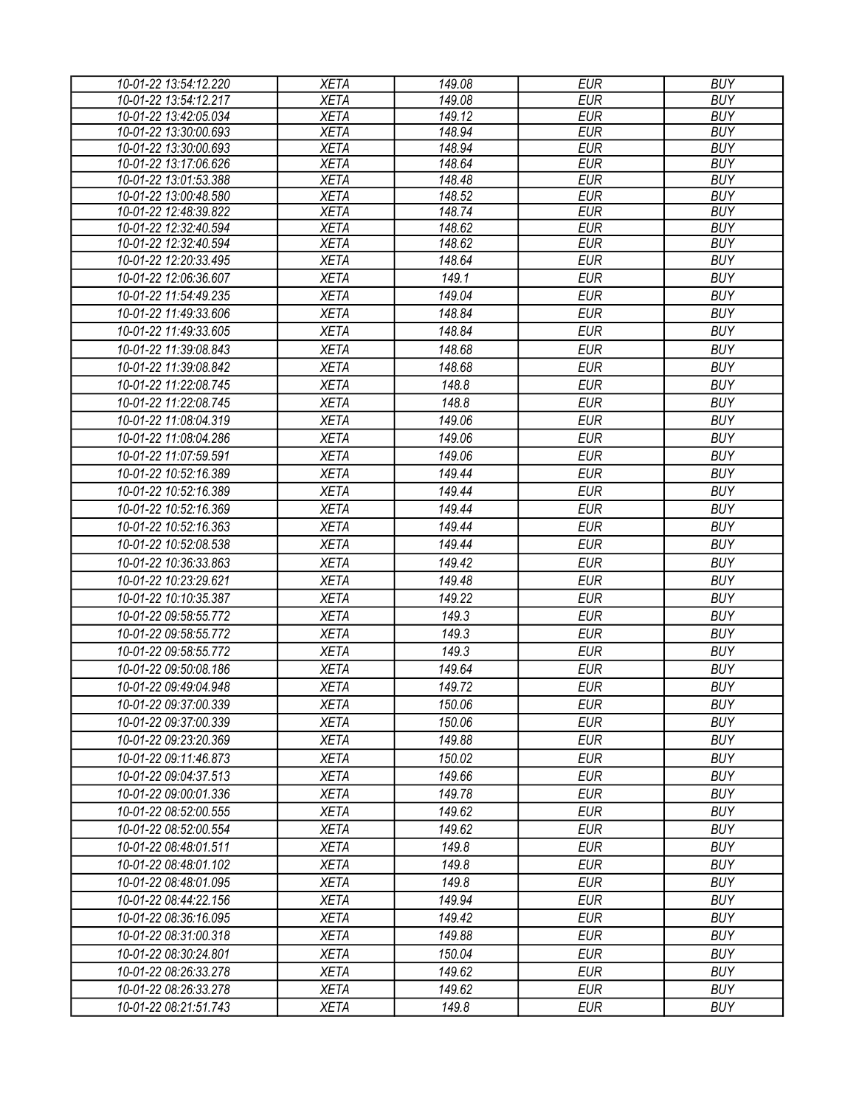| 10-01-22 13:54:12.220 | <b>XETA</b> | 149.08 | <b>EUR</b> | <b>BUY</b> |
|-----------------------|-------------|--------|------------|------------|
| 10-01-22 13:54:12.217 | <b>XETA</b> | 149.08 | <b>EUR</b> | <b>BUY</b> |
| 10-01-22 13:42:05.034 | <b>XETA</b> | 149.12 | <b>EUR</b> | <b>BUY</b> |
| 10-01-22 13:30:00.693 | <b>XETA</b> | 148.94 | <b>EUR</b> | <b>BUY</b> |
| 10-01-22 13:30:00.693 | <b>XETA</b> | 148.94 | <b>EUR</b> | <b>BUY</b> |
| 10-01-22 13:17:06.626 | <b>XETA</b> | 148.64 | <b>EUR</b> | <b>BUY</b> |
| 10-01-22 13:01:53.388 | <b>XETA</b> | 148.48 | <b>EUR</b> | <b>BUY</b> |
| 10-01-22 13:00:48.580 | <b>XETA</b> | 148.52 | <b>EUR</b> | <b>BUY</b> |
| 10-01-22 12:48:39.822 | <b>XETA</b> | 148.74 | <b>EUR</b> | <b>BUY</b> |
| 10-01-22 12:32:40.594 | <b>XETA</b> | 148.62 | <b>EUR</b> | <b>BUY</b> |
| 10-01-22 12:32:40.594 | <b>XETA</b> | 148.62 | <b>EUR</b> | <b>BUY</b> |
| 10-01-22 12:20:33.495 | <b>XETA</b> | 148.64 | <b>EUR</b> | <b>BUY</b> |
| 10-01-22 12:06:36.607 | <b>XETA</b> | 149.1  | <b>EUR</b> | <b>BUY</b> |
| 10-01-22 11:54:49.235 | <b>XETA</b> | 149.04 | <b>EUR</b> | <b>BUY</b> |
| 10-01-22 11:49:33.606 | <b>XETA</b> | 148.84 | <b>EUR</b> | <b>BUY</b> |
| 10-01-22 11:49:33.605 | <b>XETA</b> | 148.84 | <b>EUR</b> | <b>BUY</b> |
| 10-01-22 11:39:08.843 | <b>XETA</b> | 148.68 | <b>EUR</b> | <b>BUY</b> |
| 10-01-22 11:39:08.842 | <b>XETA</b> | 148.68 | <b>EUR</b> | <b>BUY</b> |
| 10-01-22 11:22:08.745 | <b>XETA</b> | 148.8  | <b>EUR</b> | <b>BUY</b> |
| 10-01-22 11:22:08.745 | <b>XETA</b> | 148.8  | <b>EUR</b> | <b>BUY</b> |
| 10-01-22 11:08:04.319 | <b>XETA</b> | 149.06 | <b>EUR</b> | <b>BUY</b> |
| 10-01-22 11:08:04.286 | <b>XETA</b> | 149.06 | <b>EUR</b> | <b>BUY</b> |
| 10-01-22 11:07:59.591 | <b>XETA</b> | 149.06 | <b>EUR</b> | <b>BUY</b> |
| 10-01-22 10:52:16.389 | <b>XETA</b> | 149.44 | <b>EUR</b> | <b>BUY</b> |
| 10-01-22 10:52:16.389 | <b>XETA</b> | 149.44 | <b>EUR</b> | <b>BUY</b> |
|                       |             |        |            |            |
| 10-01-22 10:52:16.369 | <b>XETA</b> | 149.44 | <b>EUR</b> | <b>BUY</b> |
| 10-01-22 10:52:16.363 | <b>XETA</b> | 149.44 | <b>EUR</b> | <b>BUY</b> |
| 10-01-22 10:52:08.538 | <b>XETA</b> | 149.44 | <b>EUR</b> | <b>BUY</b> |
| 10-01-22 10:36:33.863 | <b>XETA</b> | 149.42 | <b>EUR</b> | <b>BUY</b> |
| 10-01-22 10:23:29.621 | <b>XETA</b> | 149.48 | <b>EUR</b> | <b>BUY</b> |
| 10-01-22 10:10:35.387 | <b>XETA</b> | 149.22 | <b>EUR</b> | <b>BUY</b> |
| 10-01-22 09:58:55.772 | <b>XETA</b> | 149.3  | <b>EUR</b> | <b>BUY</b> |
| 10-01-22 09:58:55.772 | <b>XETA</b> | 149.3  | <b>EUR</b> | <b>BUY</b> |
| 10-01-22 09:58:55.772 | <b>XETA</b> | 149.3  | <b>EUR</b> | <b>BUY</b> |
| 10-01-22 09:50:08.186 | <b>XETA</b> | 149.64 | <b>EUR</b> | <b>BUY</b> |
| 10-01-22 09:49:04.948 | <b>XETA</b> | 149.72 | <b>EUR</b> | <b>BUY</b> |
| 10-01-22 09:37:00.339 | <b>XETA</b> | 150.06 | <b>EUR</b> | <b>BUY</b> |
| 10-01-22 09:37:00.339 | <b>XETA</b> | 150.06 | <b>EUR</b> | <b>BUY</b> |
| 10-01-22 09:23:20.369 | <b>XETA</b> | 149.88 | <b>EUR</b> | <b>BUY</b> |
| 10-01-22 09:11:46.873 | <b>XETA</b> | 150.02 | <b>EUR</b> | <b>BUY</b> |
| 10-01-22 09:04:37.513 | <b>XETA</b> | 149.66 | <b>EUR</b> | <b>BUY</b> |
| 10-01-22 09:00:01.336 | <b>XETA</b> | 149.78 | <b>EUR</b> | <b>BUY</b> |
|                       |             |        |            |            |
| 10-01-22 08:52:00.555 | <b>XETA</b> | 149.62 | <b>EUR</b> | <b>BUY</b> |
| 10-01-22 08:52:00.554 | <b>XETA</b> | 149.62 | <b>EUR</b> | <b>BUY</b> |
| 10-01-22 08:48:01.511 | <b>XETA</b> | 149.8  | <b>EUR</b> | <b>BUY</b> |
| 10-01-22 08:48:01.102 | <b>XETA</b> | 149.8  | <b>EUR</b> | <b>BUY</b> |
| 10-01-22 08:48:01.095 | <b>XETA</b> | 149.8  | <b>EUR</b> | <b>BUY</b> |
| 10-01-22 08:44:22.156 | <b>XETA</b> | 149.94 | <b>EUR</b> | <b>BUY</b> |
| 10-01-22 08:36:16.095 | <b>XETA</b> | 149.42 | <b>EUR</b> | <b>BUY</b> |
| 10-01-22 08:31:00.318 | <b>XETA</b> | 149.88 | <b>EUR</b> | <b>BUY</b> |
| 10-01-22 08:30:24.801 | <b>XETA</b> | 150.04 | <b>EUR</b> | <b>BUY</b> |
| 10-01-22 08:26:33.278 | <b>XETA</b> | 149.62 | <b>EUR</b> | <b>BUY</b> |
| 10-01-22 08:26:33.278 | <b>XETA</b> | 149.62 | <b>EUR</b> | <b>BUY</b> |
| 10-01-22 08:21:51.743 | <b>XETA</b> | 149.8  | <b>EUR</b> | <b>BUY</b> |
|                       |             |        |            |            |